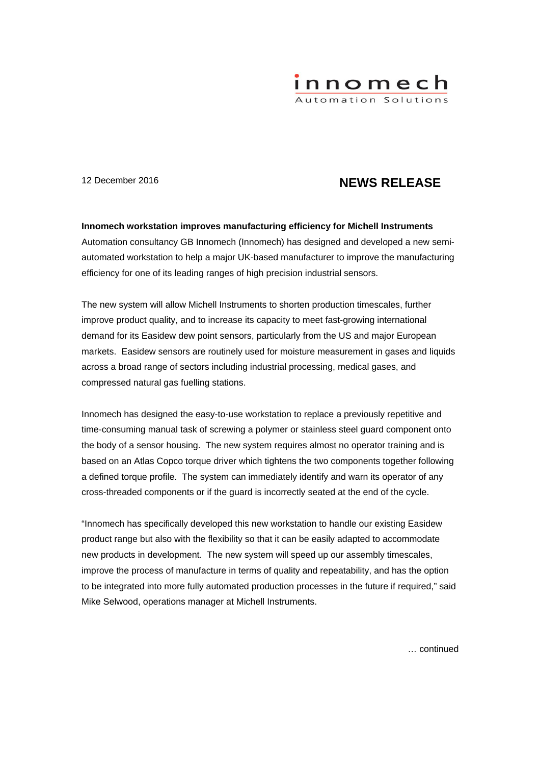

# 12 December 2016 **NEWS RELEASE**

## **Innomech workstation improves manufacturing efficiency for Michell Instruments**

Automation consultancy GB Innomech (Innomech) has designed and developed a new semiautomated workstation to help a major UK-based manufacturer to improve the manufacturing efficiency for one of its leading ranges of high precision industrial sensors.

The new system will allow Michell Instruments to shorten production timescales, further improve product quality, and to increase its capacity to meet fast-growing international demand for its Easidew dew point sensors, particularly from the US and major European markets. Easidew sensors are routinely used for moisture measurement in gases and liquids across a broad range of sectors including industrial processing, medical gases, and compressed natural gas fuelling stations.

Innomech has designed the easy-to-use workstation to replace a previously repetitive and time-consuming manual task of screwing a polymer or stainless steel guard component onto the body of a sensor housing. The new system requires almost no operator training and is based on an Atlas Copco torque driver which tightens the two components together following a defined torque profile. The system can immediately identify and warn its operator of any cross-threaded components or if the guard is incorrectly seated at the end of the cycle.

"Innomech has specifically developed this new workstation to handle our existing Easidew product range but also with the flexibility so that it can be easily adapted to accommodate new products in development. The new system will speed up our assembly timescales, improve the process of manufacture in terms of quality and repeatability, and has the option to be integrated into more fully automated production processes in the future if required," said Mike Selwood, operations manager at Michell Instruments.

… continued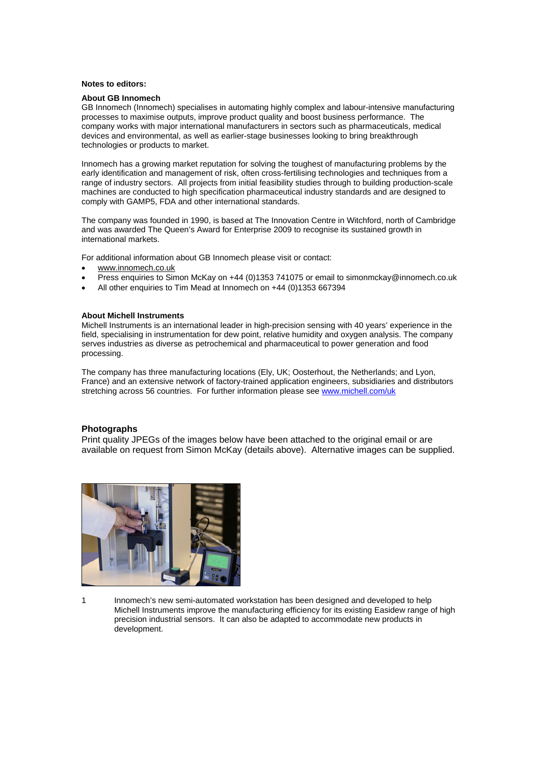#### **Notes to editors:**

### **About GB Innomech**

GB Innomech (Innomech) specialises in automating highly complex and labour-intensive manufacturing processes to maximise outputs, improve product quality and boost business performance. The company works with major international manufacturers in sectors such as pharmaceuticals, medical devices and environmental, as well as earlier-stage businesses looking to bring breakthrough technologies or products to market.

Innomech has a growing market reputation for solving the toughest of manufacturing problems by the early identification and management of risk, often cross-fertilising technologies and techniques from a range of industry sectors. All projects from initial feasibility studies through to building production-scale machines are conducted to high specification pharmaceutical industry standards and are designed to comply with GAMP5, FDA and other international standards.

The company was founded in 1990, is based at The Innovation Centre in Witchford, north of Cambridge and was awarded The Queen's Award for Enterprise 2009 to recognise its sustained growth in international markets.

For additional information about GB Innomech please visit or contact:

- www.innomech.co.uk
- Press enquiries to Simon McKay on +44 (0)1353 741075 or email to simonmckay@innomech.co.uk
- All other enquiries to Tim Mead at Innomech on +44 (0)1353 667394

#### **About Michell Instruments**

Michell Instruments is an international leader in high-precision sensing with 40 years' experience in the field, specialising in instrumentation for dew point, relative humidity and oxygen analysis. The company serves industries as diverse as petrochemical and pharmaceutical to power generation and food processing.

The company has three manufacturing locations (Ely, UK; Oosterhout, the Netherlands; and Lyon, France) and an extensive network of factory-trained application engineers, subsidiaries and distributors stretching across 56 countries. For further information please see www.michell.com/uk

#### **Photographs**

Print quality JPEGs of the images below have been attached to the original email or are available on request from Simon McKay (details above). Alternative images can be supplied.



1 Innomech's new semi-automated workstation has been designed and developed to help Michell Instruments improve the manufacturing efficiency for its existing Easidew range of high precision industrial sensors. It can also be adapted to accommodate new products in development.